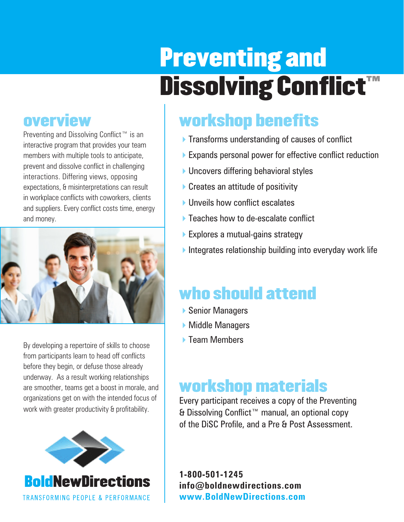# Preventing and Dissolving Conflict™

### workshop benefits

- **If** Transforms understanding of causes of conflict
- $\blacktriangleright$  Expands personal power for effective conflict reduction
- $\blacktriangleright$  Uncovers differing behavioral styles
- $\triangleright$  Creates an attitude of positivity
- ▶ Unveils how conflict escalates
- $\blacktriangleright$  Teaches how to de-escalate conflict
- $\blacktriangleright$  Explores a mutual-gains strategy
- $\blacktriangleright$  Integrates relationship building into everyday work life

## who should attend

- ▶ Senior Managers
- **Middle Managers**
- **Faam Members**

## workshop materials

Every participant receives a copy of the Preventing & Dissolving Conflict™ manual, an optional copy of the DiSC Profile, and a Pre & Post Assessment.

**1-800-501-1245 info@boldnewdirections.com www.BoldNewDirections.com**

### overview

Preventing and Dissolving Conflict™ is an interactive program that provides your team members with multiple tools to anticipate, prevent and dissolve conflict in challenging interactions. Differing views, opposing expectations, & misinterpretations can result in workplace conflicts with coworkers, clients and suppliers. Every conflict costs time, energy and money.



By developing a repertoire of skills to choose from participants learn to head off conflicts before they begin, or defuse those already underway. As a result working relationships are smoother, teams get a boost in morale, and organizations get on with the intended focus of work with greater productivity & profitability.